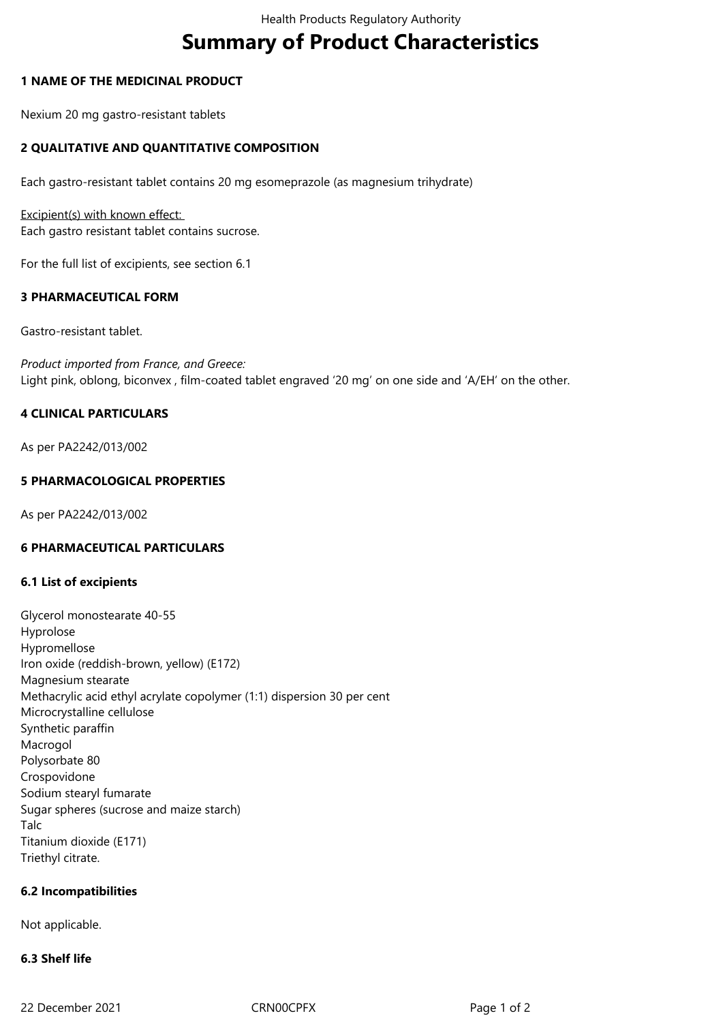# **Summary of Product Characteristics**

#### **1 NAME OF THE MEDICINAL PRODUCT**

Nexium 20 mg gastro-resistant tablets

# **2 QUALITATIVE AND QUANTITATIVE COMPOSITION**

Each gastro-resistant tablet contains 20 mg esomeprazole (as magnesium trihydrate)

Excipient(s) with known effect: Each gastro resistant tablet contains sucrose.

For the full list of excipients, see section 6.1

#### **3 PHARMACEUTICAL FORM**

Gastro-resistant tablet.

*Product imported from France, and Greece:* Light pink, oblong, biconvex , film-coated tablet engraved '20 mg' on one side and 'A/EH' on the other.

## **4 CLINICAL PARTICULARS**

As per PA2242/013/002

## **5 PHARMACOLOGICAL PROPERTIES**

As per PA2242/013/002

#### **6 PHARMACEUTICAL PARTICULARS**

#### **6.1 List of excipients**

Glycerol monostearate 40-55 Hyprolose Hypromellose Iron oxide (reddish-brown, yellow) (E172) Magnesium stearate Methacrylic acid ethyl acrylate copolymer (1:1) dispersion 30 per cent Microcrystalline cellulose Synthetic paraffin Macrogol Polysorbate 80 Crospovidone Sodium stearyl fumarate Sugar spheres (sucrose and maize starch) Talc Titanium dioxide (E171) Triethyl citrate.

#### **6.2 Incompatibilities**

Not applicable.

# **6.3 Shelf life**